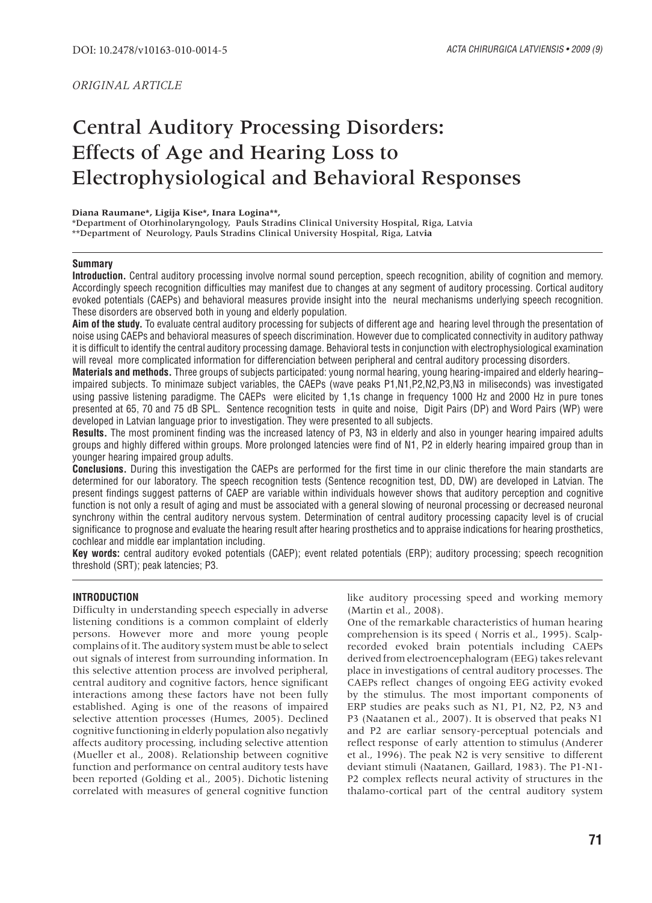# Central Auditory Processing Disorders: Effects of Age and Hearing Loss to Electrophysiological and Behavioral Responses

#### **Diana Raumane\*, Ligija Kise\*, Inara Logina\*\*,**

\*Department of Otorhinolaryngology, Pauls Stradins Clinical University Hospital, Riga, Latvia \*\*Department of Neurology, Pauls Stradins Clinical University Hospital, Riga, Latv**ia**

## **Summary**

**Introduction.** Central auditory processing involve normal sound perception, speech recognition, ability of cognition and memory. Accordingly speech recognition difficulties may manifest due to changes at any segment of auditory processing. Cortical auditory evoked potentials (CAEPs) and behavioral measures provide insight into the neural mechanisms underlying speech recognition. These disorders are observed both in young and elderly population.

**Aim of the study.** To evaluate central auditory processing for subjects of different age and hearing level through the presentation of noise using CAEPs and behavioral measures of speech discrimination. However due to complicated connectivity in auditory pathway it is difficult to identify the central auditory processing damage. Behavioral tests in conjunction with electrophysiological examination will reveal more complicated information for differenciation between peripheral and central auditory processing disorders.

**Materials and methods.** Three groups of subjects participated: young normal hearing, young hearing-impaired and elderly hearing– impaired subjects. To minimaze subject variables, the CAEPs (wave peaks P1,N1,P2,N2,P3,N3 in miliseconds) was investigated using passive listening paradigme. The CAEPs were elicited by 1,1s change in frequency 1000 Hz and 2000 Hz in pure tones presented at 65, 70 and 75 dB SPL. Sentence recognition tests in quite and noise, Digit Pairs (DP) and Word Pairs (WP) were developed in Latvian language prior to investigation. They were presented to all subjects.

**Results.** The most prominent finding was the increased latency of P3, N3 in elderly and also in younger hearing impaired adults groups and highly differed within groups. More prolonged latencies were find of N1, P2 in elderly hearing impaired group than in younger hearing impaired group adults.

**Conclusions.** During this investigation the CAEPs are performed for the first time in our clinic therefore the main standarts are determined for our laboratory. The speech recognition tests (Sentence recognition test, DD, DW) are developed in Latvian. The present findings suggest patterns of CAEP are variable within individuals however shows that auditory perception and cognitive function is not only a result of aging and must be associated with a general slowing of neuronal processing or decreased neuronal synchrony within the central auditory nervous system. Determination of central auditory processing capacity level is of crucial significance to prognose and evaluate the hearing result after hearing prosthetics and to appraise indications for hearing prosthetics, cochlear and middle ear implantation including.

**Key words:** central auditory evoked potentials (CAEP); event related potentials (ERP); auditory processing; speech recognition threshold (SRT); peak latencies; P3.

## **INTRODUCTION**

Difficulty in understanding speech especially in adverse listening conditions is a common complaint of elderly persons. However more and more young people complains of it. The auditory system must be able to select out signals of interest from surrounding information. In this selective attention process are involved peripheral, central auditory and cognitive factors, hence significant interactions among these factors have not been fully established. Aging is one of the reasons of impaired selective attention processes (Humes, 2005). Declined cognitive functioning in elderly population also negativly affects auditory processing, including selective attention (Mueller et al., 2008). Relationship between cognitive function and performance on central auditory tests have been reported (Golding et al., 2005). Dichotic listening correlated with measures of general cognitive function

like auditory processing speed and working memory (Martin et al., 2008).

One of the remarkable characteristics of human hearing comprehension is its speed ( Norris et al., 1995). Scalprecorded evoked brain potentials including CAEPs derived from electroencephalogram (EEG) takes relevant place in investigations of central auditory processes. The CAEPs reflect changes of ongoing EEG activity evoked by the stimulus. The most important components of ERP studies are peaks such as N1, P1, N2, P2, N3 and P3 (Naatanen et al., 2007). It is observed that peaks N1 and P2 are earliar sensory-perceptual potencials and reflect response of early attention to stimulus (Anderer et al., 1996). The peak N2 is very sensitive to different deviant stimuli (Naatanen, Gaillard, 1983). The P1-N1- P2 complex reflects neural activity of structures in the thalamo-cortical part of the central auditory system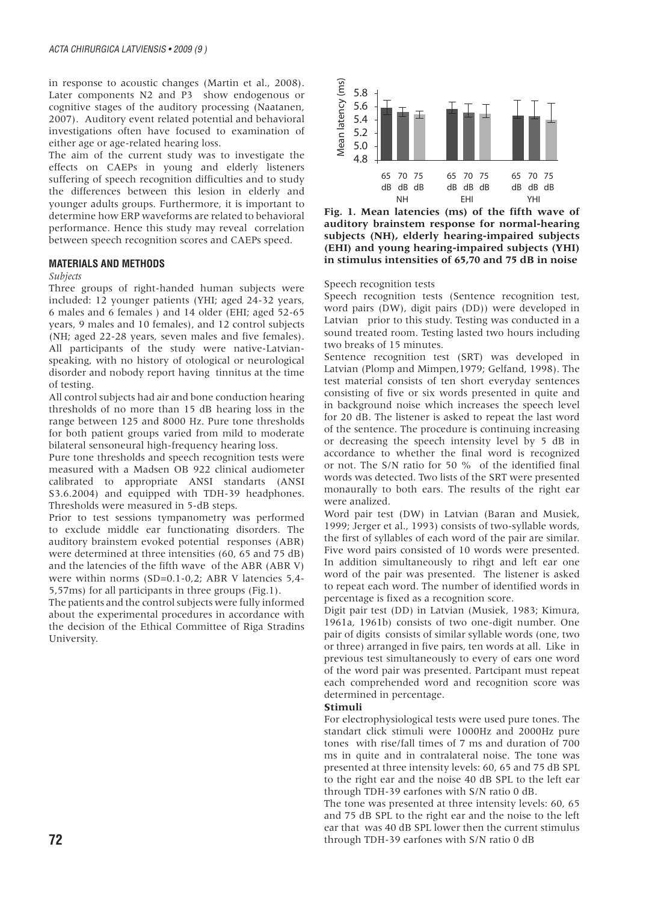in response to acoustic changes (Martin et al., 2008). Later components N2 and P3 show endogenous or cognitive stages of the auditory processing (Naatanen, 2007). Auditory event related potential and behavioral investigations often have focused to examination of either age or age-related hearing loss.

The aim of the current study was to investigate the effects on CAEPs in young and elderly listeners suffering of speech recognition difficulties and to study the differences between this lesion in elderly and younger adults groups. Furthermore, it is important to determine how ERP waveforms are related to behavioral performance. Hence this study may reveal correlation between speech recognition scores and CAEPs speed.

## **MATERIALS AND METHODS**

## *Subjects*

Three groups of right-handed human subjects were included: 12 younger patients (YHI; aged 24-32 years, 6 males and 6 females ) and 14 older (EHI; aged 52-65 years, 9 males and 10 females), and 12 control subjects (NH; aged 22-28 years, seven males and five females). All participants of the study were native-Latvianspeaking, with no history of otological or neurological disorder and nobody report having tinnitus at the time of testing.

All control subjects had air and bone conduction hearing thresholds of no more than 15 dB hearing loss in the range between 125 and 8000 Hz. Pure tone thresholds for both patient groups varied from mild to moderate bilateral sensoneural high-frequency hearing loss.

Pure tone thresholds and speech recognition tests were measured with a Madsen OB 922 clinical audiometer calibrated to appropriate ANSI standarts (ANSI S3.6.2004) and equipped with TDH-39 headphones. Thresholds were measured in 5-dB steps.

Prior to test sessions tympanometry was performed to exclude middle ear functionating disorders. The auditory brainstem evoked potential responses (ABR) were determined at three intensities (60, 65 and 75 dB) and the latencies of the fifth wave of the ABR (ABR V) were within norms (SD=0.1-0,2; ABR V latencies 5,4- 5,57ms) for all participants in three groups (Fig.1).

The patients and the control subjects were fully informed about the experimental procedures in accordance with the decision of the Ethical Committee of Riga Stradins University.



**Fig. 1. Mean latencies (ms) of the fifth wave of auditory brainstem response for normal-hearing subjects (NH), elderly hearing-impaired subjects (EHI) and young hearing-impaired subjects (YHI) in stimulus intensities of 65,70 and 75 dB in noise** 

Speech recognition tests

Speech recognition tests (Sentence recognition test, word pairs (DW), digit pairs (DD)) were developed in Latvian prior to this study. Testing was conducted in a sound treated room. Testing lasted two hours including two breaks of 15 minutes.

Sentence recognition test (SRT) was developed in Latvian (Plomp and Mimpen,1979; Gelfand, 1998). The test material consists of ten short everyday sentences consisting of five or six words presented in quite and in background noise which increases the speech level for 20 dB. The listener is asked to repeat the last word of the sentence. The procedure is continuing increasing or decreasing the speech intensity level by 5 dB in accordance to whether the final word is recognized or not. The S/N ratio for 50 % of the identified final words was detected. Two lists of the SRT were presented monaurally to both ears. The results of the right ear were analized. E<br>  $\frac{2}{5}$  5.8  $\frac{1}{5}$   $\frac{1}{5}$   $\frac{1}{5}$   $\frac{1}{5}$   $\frac{1}{5}$   $\frac{1}{5}$   $\frac{1}{5}$   $\frac{1}{5}$   $\frac{1}{5}$   $\frac{1}{5}$   $\frac{1}{5}$   $\frac{1}{5}$   $\frac{1}{5}$   $\frac{1}{5}$   $\frac{1}{5}$   $\frac{1}{5}$   $\frac{1}{5}$   $\frac{1}{5}$   $\frac{1}{5}$   $\frac{1}{5}$   $\frac{$ 

Word pair test (DW) in Latvian (Baran and Musiek, 1999; Jerger et al., 1993) consists of two-syllable words, the first of syllables of each word of the pair are similar. Five word pairs consisted of 10 words were presented. In addition simultaneously to rihgt and left ear one word of the pair was presented. The listener is asked to repeat each word. The number of identified words in percentage is fixed as a recognition score.

Digit pair test (DD) in Latvian (Musiek, 1983; Kimura, 1961a, 1961b) consists of two one-digit number. One pair of digits consists of similar syllable words (one, two or three) arranged in five pairs, ten words at all. Like in previous test simultaneously to every of ears one word of the word pair was presented. Partcipant must repeat each comprehended word and recognition score was determined in percentage.

# **Stimuli**

For electrophysiological tests were used pure tones. The standart click stimuli were 1000Hz and 2000Hz pure tones with rise/fall times of 7 ms and duration of 700 ms in quite and in contralateral noise. The tone was presented at three intensity levels: 60, 65 and 75 dB SPL to the right ear and the noise 40 dB SPL to the left ear through TDH-39 earfones with S/N ratio 0 dB.

The tone was presented at three intensity levels: 60, 65 and 75 dB SPL to the right ear and the noise to the left ear that was 40 dB SPL lower then the current stimulus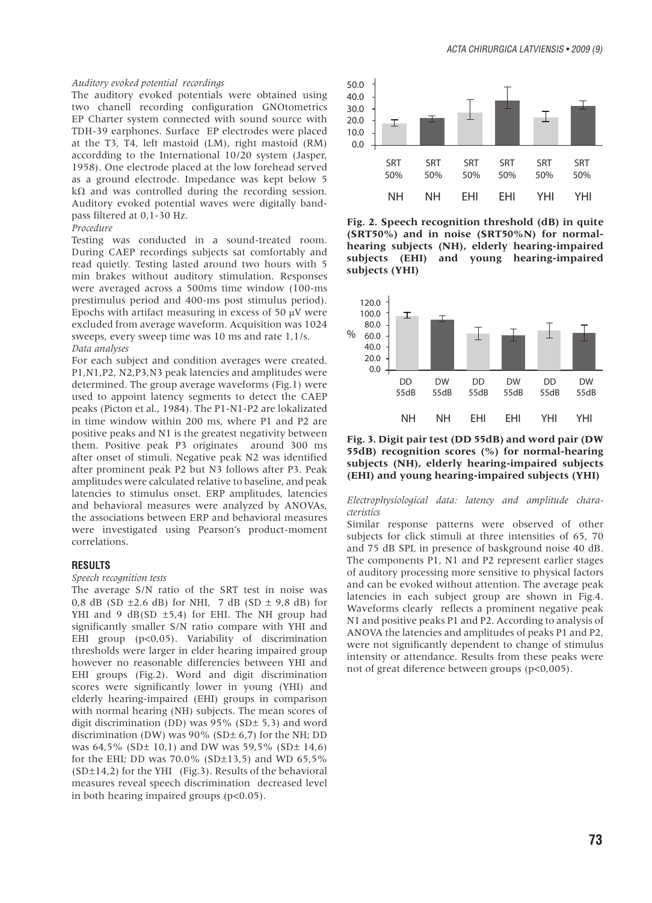#### *Auditory evoked potential recordings*

The auditory evoked potentials were obtained using two chanell recording configuration GNOtometrics EP Charter system connected with sound source with TDH-39 earphones. Surface EP electrodes were placed at the T3, T4, left mastoid (LM), right mastoid (RM) accordding to the International 10/20 system (Jasper, 1958). One electrode placed at the low forehead served as a ground electrode. Impedance was kept below 5  $k\Omega$  and was controlled during the recording session. Auditory evoked potential waves were digitally bandpass filtered at 0,1-30 Hz.

#### *Procedure*

Testing was conducted in a sound-treated room. During CAEP recordings subjects sat comfortably and read quietly. Testing lasted around two hours with 5 min brakes without auditory stimulation. Responses were averaged across a 500ms time window (100-ms prestimulus period and 400-ms post stimulus period). Epochs with artifact measuring in excess of 50  $\mu$ V were excluded from average waveform. Acquisition was 1024 sweeps, every sweep time was 10 ms and rate 1,1/s. *Data analyses*

For each subject and condition averages were created. P1,N1,P2, N2,P3,N3 peak latencies and amplitudes were determined. The group average waveforms (Fig.1) were used to appoint latency segments to detect the CAEP peaks (Picton et al., 1984). The P1-N1-P2 are lokalizated in time window within 200 ms, where P1 and P2 are positive peaks and N1 is the greatest negativity between them. Positive peak P3 originates around 300 ms after onset of stimuli. Negative peak N2 was identified after prominent peak P2 but N3 follows after P3. Peak amplitudes were calculated relative to baseline, and peak latencies to stimulus onset. ERP amplitudes, latencies and behavioral measures were analyzed by ANOVAs, the associations between ERP and behavioral measures were investigated using Pearson's product-moment correlations.

#### **RESULTS**

#### *Speech recognition tests*

The average S/N ratio of the SRT test in noise was 0,8 dB (SD  $\pm$ 2.6 dB) for NHI, 7 dB (SD  $\pm$  9,8 dB) for YHI and 9  $dB(SD \pm 5,4)$  for EHI. The NH group had significantly smaller S/N ratio compare with YHI and EHI group (p<0,05). Variability of discrimination thresholds were larger in elder hearing impaired group however no reasonable differencies between YHI and EHI groups (Fig.2). Word and digit discrimination scores were significantly lower in young (YHI) and elderly hearing-impaired (EHI) groups in comparison with normal hearing (NH) subjects. The mean scores of digit discrimination (DD) was 95% (SD± 5,3) and word discrimination (DW) was  $90\%$  (SD $\pm$  6,7) for the NH; DD was 64,5% (SD± 10,1) and DW was 59,5% (SD± 14,6) for the EHI; DD was 70.0% (SD±13,5) and WD 65,5%  $(SD±14,2)$  for the YHI (Fig.3). Results of the behavioral measures reveal speech discrimination decreased level in both hearing impaired groups (p<0.05).



**Fig. 2. Speech recognition threshold (dB) in quite (SRT50%) and in noise (SRT50%N) for normalhearing subjects (NH), elderly hearing-impaired subjects (EHI) and young hearing-impaired subjects (YHI)**



**Fig. 3. Digit pair test (DD 55dB) and word pair (DW 55dB) recognition scores (%) for normal-hearing subjects (NH), elderly hearing-impaired subjects (EHI) and young hearing-impaired subjects (YHI)**

*Electrophysiological data: latency and amplitude characteristics*

Similar response patterns were observed of other subjects for click stimuli at three intensities of 65, 70 and 75 dB SPL in presence of baskground noise 40 dB. The components P1, N1 and P2 represent earlier stages of auditory processing more sensitive to physical factors and can be evoked without attention. The average peak latencies in each subject group are shown in Fig.4. Waveforms clearly reflects a prominent negative peak N1 and positive peaks P1 and P2. According to analysis of ANOVA the latencies and amplitudes of peaks P1 and P2, were not significantly dependent to change of stimulus intensity or attendance. Results from these peaks were not of great diference between groups (p<0,005).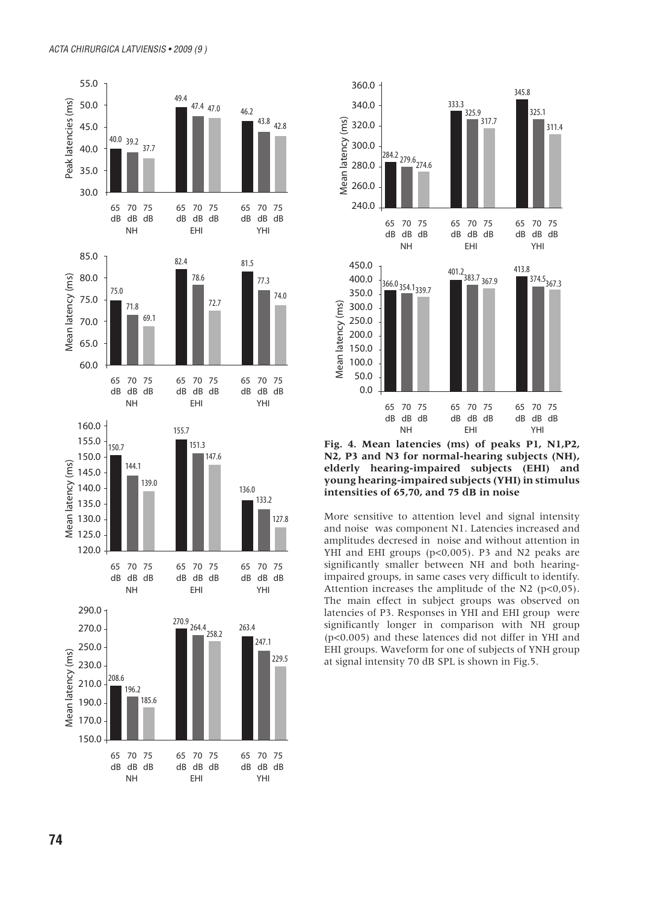



**Fig. 4. Mean latencies (ms) of peaks P1, N1,P2, N2, P3 and N3 for normal-hearing subjects (NH), elderly hearing-impaired subjects (EHI) and young hearing-impaired subjects (YHI) in stimulus intensities of 65,70, and 75 dB in noise** 

More sensitive to attention level and signal intensity and noise was component N1. Latencies increased and amplitudes decresed in noise and without attention in YHI and EHI groups (p<0,005). P3 and N2 peaks are significantly smaller between NH and both hearingimpaired groups, in same cases very difficult to identify. Attention increases the amplitude of the N2 (p<0,05). The main effect in subject groups was observed on latencies of P3. Responses in YHI and EHI group were significantly longer in comparison with NH group (p<0.005) and these latences did not differ in YHI and EHI groups. Waveform for one of subjects of YNH group at signal intensity 70 dB SPL is shown in Fig.5.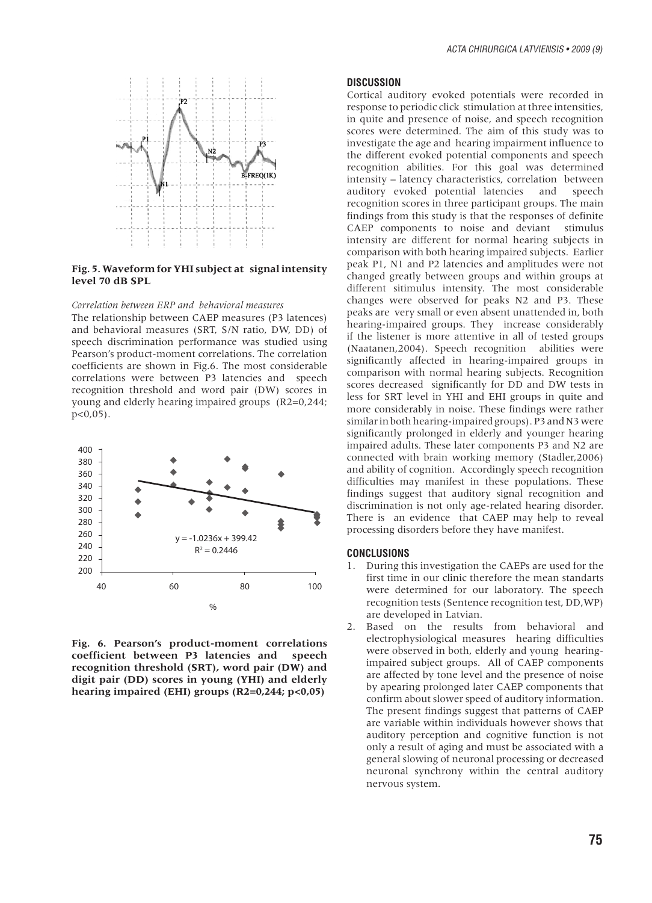

#### **Fig. 5. Waveform for YHI subject at signal intensity level 70 dB SPL**

## *Correlation between ERP and behavioral measures*

The relationship between CAEP measures (P3 latences) and behavioral measures (SRT, S/N ratio, DW, DD) of speech discrimination performance was studied using Pearson's product-moment correlations. The correlation coefficients are shown in Fig.6. The most considerable correlations were between P3 latencies and speech recognition threshold and word pair (DW) scores in young and elderly hearing impaired groups (R2=0,244;  $p < 0.05$ ).



**Fig. 6. Pearson's product-moment correlations coefficient between P3 latencies and speech recognition threshold (SRT), word pair (DW) and digit pair (DD) scores in young (YHI) and elderly hearing impaired (EHI) groups (R2=0,244; p<0,05)**

# **DISCUSSION**

Cortical auditory evoked potentials were recorded in response to periodic click stimulation at three intensities, in quite and presence of noise, and speech recognition scores were determined. The aim of this study was to investigate the age and hearing impairment influence to the different evoked potential components and speech recognition abilities. For this goal was determined intensity – latency characteristics, correlation between auditory evoked potential latencies and speech recognition scores in three participant groups. The main findings from this study is that the responses of definite CAEP components to noise and deviant stimulus intensity are different for normal hearing subjects in comparison with both hearing impaired subjects. Earlier peak P1, N1 and P2 latencies and amplitudes were not changed greatly between groups and within groups at different sitimulus intensity. The most considerable changes were observed for peaks N2 and P3. These peaks are very small or even absent unattended in, both hearing-impaired groups. They increase considerably if the listener is more attentive in all of tested groups (Naatanen,2004). Speech recognition abilities were significantly affected in hearing-impaired groups in comparison with normal hearing subjects. Recognition scores decreased significantly for DD and DW tests in less for SRT level in YHI and EHI groups in quite and more considerably in noise. These findings were rather similar in both hearing-impaired groups). P3 and N3 were significantly prolonged in elderly and younger hearing impaired adults. These later components P3 and N2 are connected with brain working memory (Stadler,2006) and ability of cognition. Accordingly speech recognition difficulties may manifest in these populations. These findings suggest that auditory signal recognition and discrimination is not only age-related hearing disorder. There is an evidence that CAEP may help to reveal processing disorders before they have manifest.

## **CONCLUSIONS**

- 1. During this investigation the CAEPs are used for the first time in our clinic therefore the mean standarts were determined for our laboratory. The speech recognition tests (Sentence recognition test, DD,WP) are developed in Latvian.
- 2. Based on the results from behavioral and electrophysiological measures hearing difficulties were observed in both, elderly and young hearingimpaired subject groups. All of CAEP components are affected by tone level and the presence of noise by apearing prolonged later CAEP components that confirm about slower speed of auditory information. The present findings suggest that patterns of CAEP are variable within individuals however shows that auditory perception and cognitive function is not only a result of aging and must be associated with a general slowing of neuronal processing or decreased neuronal synchrony within the central auditory nervous system.